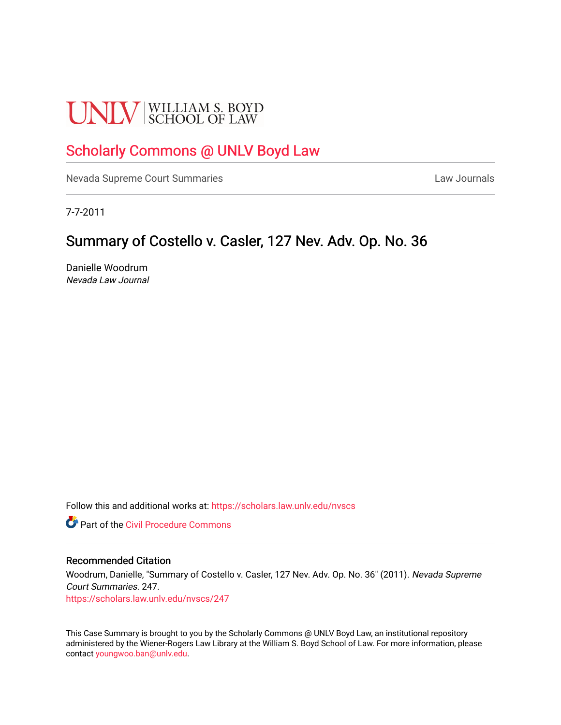# **UNLV** SCHOOL OF LAW

# [Scholarly Commons @ UNLV Boyd Law](https://scholars.law.unlv.edu/)

[Nevada Supreme Court Summaries](https://scholars.law.unlv.edu/nvscs) **Law Journals** Law Journals

7-7-2011

# Summary of Costello v. Casler, 127 Nev. Adv. Op. No. 36

Danielle Woodrum Nevada Law Journal

Follow this and additional works at: [https://scholars.law.unlv.edu/nvscs](https://scholars.law.unlv.edu/nvscs?utm_source=scholars.law.unlv.edu%2Fnvscs%2F247&utm_medium=PDF&utm_campaign=PDFCoverPages)

**C** Part of the Civil Procedure Commons

#### Recommended Citation

Woodrum, Danielle, "Summary of Costello v. Casler, 127 Nev. Adv. Op. No. 36" (2011). Nevada Supreme Court Summaries. 247. [https://scholars.law.unlv.edu/nvscs/247](https://scholars.law.unlv.edu/nvscs/247?utm_source=scholars.law.unlv.edu%2Fnvscs%2F247&utm_medium=PDF&utm_campaign=PDFCoverPages)

This Case Summary is brought to you by the Scholarly Commons @ UNLV Boyd Law, an institutional repository administered by the Wiener-Rogers Law Library at the William S. Boyd School of Law. For more information, please contact [youngwoo.ban@unlv.edu](mailto:youngwoo.ban@unlv.edu).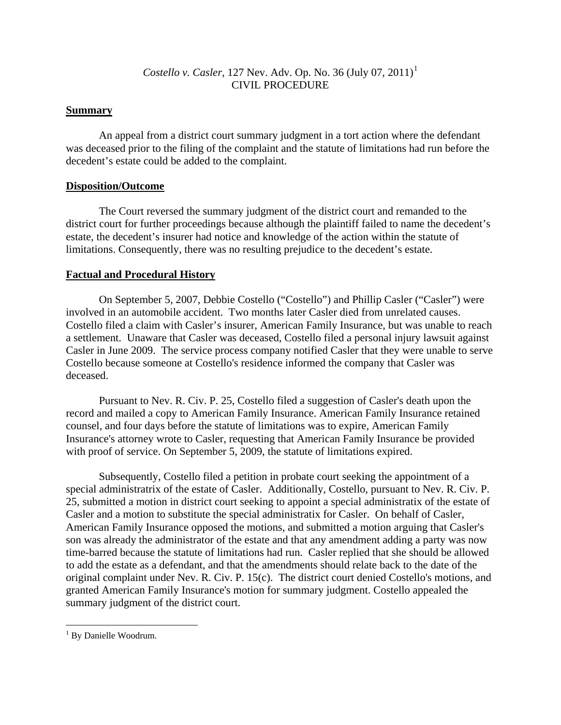## *Costello v. Casler,* [1](#page-1-0)27 Nev. Adv. Op. No. 36 (July 07, 2011)<sup>1</sup> CIVIL PROCEDURE

## **Summary**

 An appeal from a district court summary judgment in a tort action where the defendant was deceased prior to the filing of the complaint and the statute of limitations had run before the decedent's estate could be added to the complaint.

### **Disposition/Outcome**

The Court reversed the summary judgment of the district court and remanded to the district court for further proceedings because although the plaintiff failed to name the decedent's estate, the decedent's insurer had notice and knowledge of the action within the statute of limitations. Consequently, there was no resulting prejudice to the decedent's estate.

### **Factual and Procedural History**

On September 5, 2007, Debbie Costello ("Costello") and Phillip Casler ("Casler") were involved in an automobile accident. Two months later Casler died from unrelated causes. Costello filed a claim with Casler's insurer, American Family Insurance, but was unable to reach a settlement. Unaware that Casler was deceased, Costello filed a personal injury lawsuit against Casler in June 2009. The service process company notified Casler that they were unable to serve Costello because someone at Costello's residence informed the company that Casler was deceased.

Pursuant to Nev. R. Civ. P. 25, Costello filed a suggestion of Casler's death upon the record and mailed a copy to American Family Insurance. American Family Insurance retained counsel, and four days before the statute of limitations was to expire, American Family Insurance's attorney wrote to Casler, requesting that American Family Insurance be provided with proof of service. On September 5, 2009, the statute of limitations expired.

Subsequently, Costello filed a petition in probate court seeking the appointment of a special administratrix of the estate of Casler. Additionally, Costello, pursuant to Nev. R. Civ. P. 25, submitted a motion in district court seeking to appoint a special administratix of the estate of Casler and a motion to substitute the special administratix for Casler. On behalf of Casler, American Family Insurance opposed the motions, and submitted a motion arguing that Casler's son was already the administrator of the estate and that any amendment adding a party was now time-barred because the statute of limitations had run. Casler replied that she should be allowed to add the estate as a defendant, and that the amendments should relate back to the date of the original complaint under Nev. R. Civ. P. 15(c). The district court denied Costello's motions, and granted American Family Insurance's motion for summary judgment. Costello appealed the summary judgment of the district court.

 $\overline{a}$ 

<span id="page-1-0"></span><sup>&</sup>lt;sup>1</sup> By Danielle Woodrum.